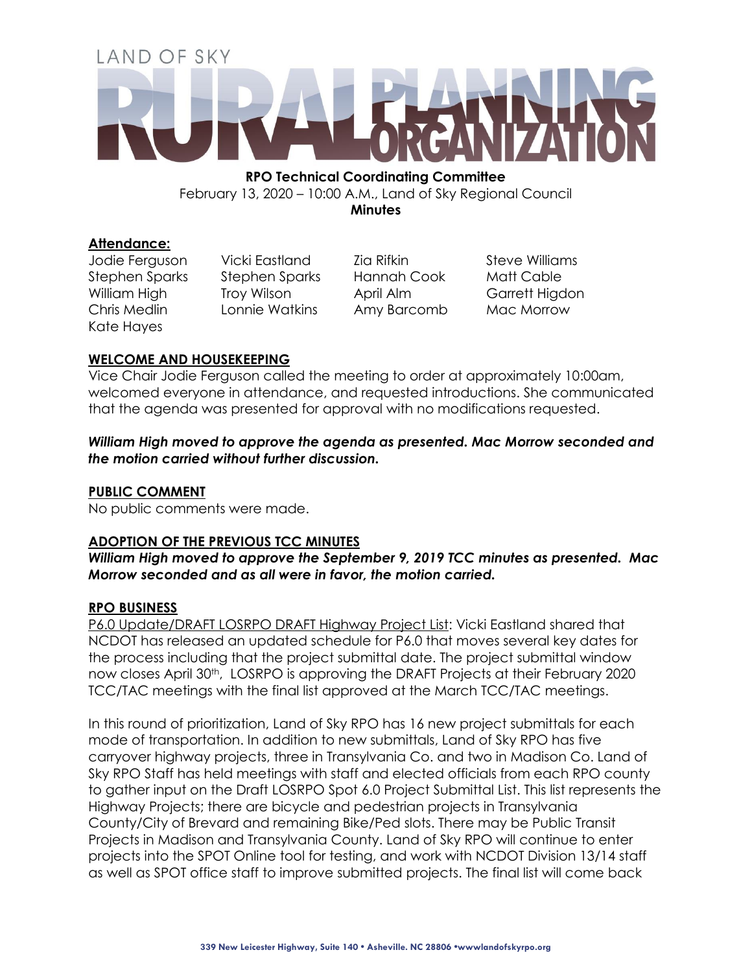# LAND OF SKY

**RPO Technical Coordinating Committee**  February 13, 2020 – 10:00 A.M., Land of Sky Regional Council **Minutes**

### **Attendance:**

Kate Hayes

Jodie Ferguson Vicki Eastland Zia Rifkin Steve Williams Stephen Sparks Stephen Sparks Hannah Cook Matt Cable William High Troy Wilson April Alm Garrett Higdon Chris Medlin Lonnie Watkins Amy Barcomb Mac Morrow

# **WELCOME AND HOUSEKEEPING**

Vice Chair Jodie Ferguson called the meeting to order at approximately 10:00am, welcomed everyone in attendance, and requested introductions. She communicated that the agenda was presented for approval with no modifications requested.

*William High moved to approve the agenda as presented. Mac Morrow seconded and the motion carried without further discussion.*

# **PUBLIC COMMENT**

No public comments were made.

# **ADOPTION OF THE PREVIOUS TCC MINUTES**

*William High moved to approve the September 9, 2019 TCC minutes as presented. Mac Morrow seconded and as all were in favor, the motion carried.*

### **RPO BUSINESS**

P6.0 Update/DRAFT LOSRPO DRAFT Highway Project List: Vicki Eastland shared that NCDOT has released an updated schedule for P6.0 that moves several key dates for the process including that the project submittal date. The project submittal window now closes April 30<sup>th</sup>, LOSRPO is approving the DRAFT Projects at their February 2020 TCC/TAC meetings with the final list approved at the March TCC/TAC meetings.

In this round of prioritization, Land of Sky RPO has 16 new project submittals for each mode of transportation. In addition to new submittals, Land of Sky RPO has five carryover highway projects, three in Transylvania Co. and two in Madison Co. Land of Sky RPO Staff has held meetings with staff and elected officials from each RPO county to gather input on the Draft LOSRPO Spot 6.0 Project Submittal List. This list represents the Highway Projects; there are bicycle and pedestrian projects in Transylvania County/City of Brevard and remaining Bike/Ped slots. There may be Public Transit Projects in Madison and Transylvania County. Land of Sky RPO will continue to enter projects into the SPOT Online tool for testing, and work with NCDOT Division 13/14 staff as well as SPOT office staff to improve submitted projects. The final list will come back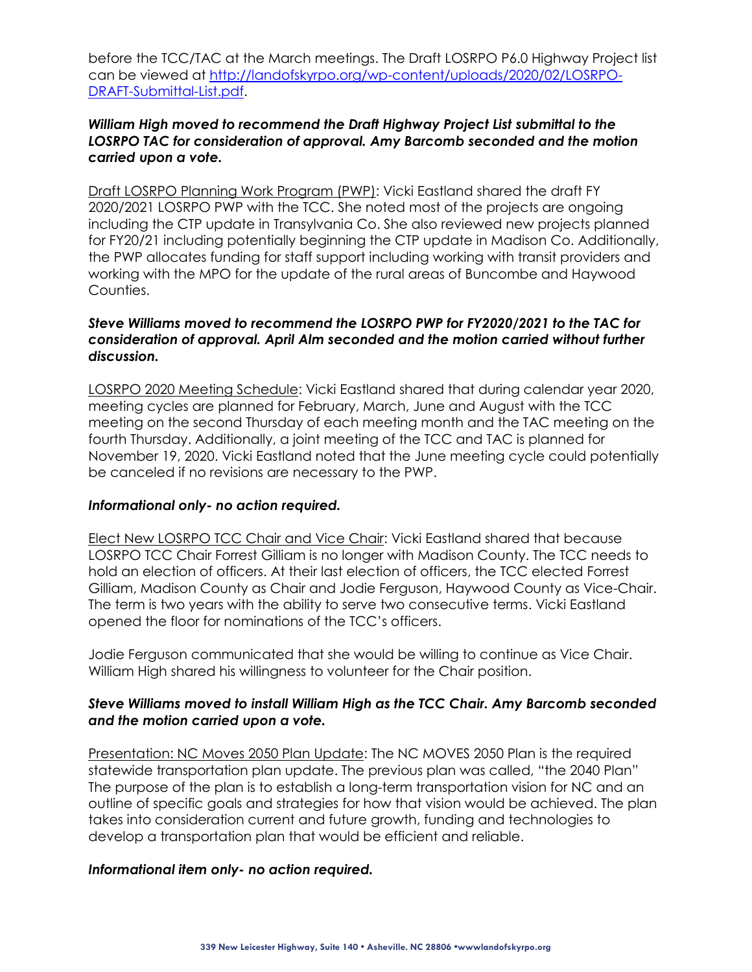before the TCC/TAC at the March meetings. The Draft LOSRPO P6.0 Highway Project list can be viewed at [http://landofskyrpo.org/wp-content/uploads/2020/02/LOSRPO-](http://landofskyrpo.org/wp-content/uploads/2020/02/LOSRPO-DRAFT-Submittal-List.pdf)[DRAFT-Submittal-List.pdf.](http://landofskyrpo.org/wp-content/uploads/2020/02/LOSRPO-DRAFT-Submittal-List.pdf)

# *William High moved to recommend the Draft Highway Project List submittal to the LOSRPO TAC for consideration of approval. Amy Barcomb seconded and the motion carried upon a vote.*

Draft LOSRPO Planning Work Program (PWP): Vicki Eastland shared the draft FY 2020/2021 LOSRPO PWP with the TCC. She noted most of the projects are ongoing including the CTP update in Transylvania Co. She also reviewed new projects planned for FY20/21 including potentially beginning the CTP update in Madison Co. Additionally, the PWP allocates funding for staff support including working with transit providers and working with the MPO for the update of the rural areas of Buncombe and Haywood Counties.

## *Steve Williams moved to recommend the LOSRPO PWP for FY2020/2021 to the TAC for consideration of approval. April Alm seconded and the motion carried without further discussion.*

LOSRPO 2020 Meeting Schedule: Vicki Eastland shared that during calendar year 2020, meeting cycles are planned for February, March, June and August with the TCC meeting on the second Thursday of each meeting month and the TAC meeting on the fourth Thursday. Additionally, a joint meeting of the TCC and TAC is planned for November 19, 2020. Vicki Eastland noted that the June meeting cycle could potentially be canceled if no revisions are necessary to the PWP.

### *Informational only- no action required.*

Elect New LOSRPO TCC Chair and Vice Chair: Vicki Eastland shared that because LOSRPO TCC Chair Forrest Gilliam is no longer with Madison County. The TCC needs to hold an election of officers. At their last election of officers, the TCC elected Forrest Gilliam, Madison County as Chair and Jodie Ferguson, Haywood County as Vice-Chair. The term is two years with the ability to serve two consecutive terms. Vicki Eastland opened the floor for nominations of the TCC's officers.

Jodie Ferguson communicated that she would be willing to continue as Vice Chair. William High shared his willingness to volunteer for the Chair position.

# *Steve Williams moved to install William High as the TCC Chair. Amy Barcomb seconded and the motion carried upon a vote.*

Presentation: NC Moves 2050 Plan Update: The NC MOVES 2050 Plan is the required statewide transportation plan update. The previous plan was called, "the 2040 Plan" The purpose of the plan is to establish a long-term transportation vision for NC and an outline of specific goals and strategies for how that vision would be achieved. The plan takes into consideration current and future growth, funding and technologies to develop a transportation plan that would be efficient and reliable.

# *Informational item only- no action required.*